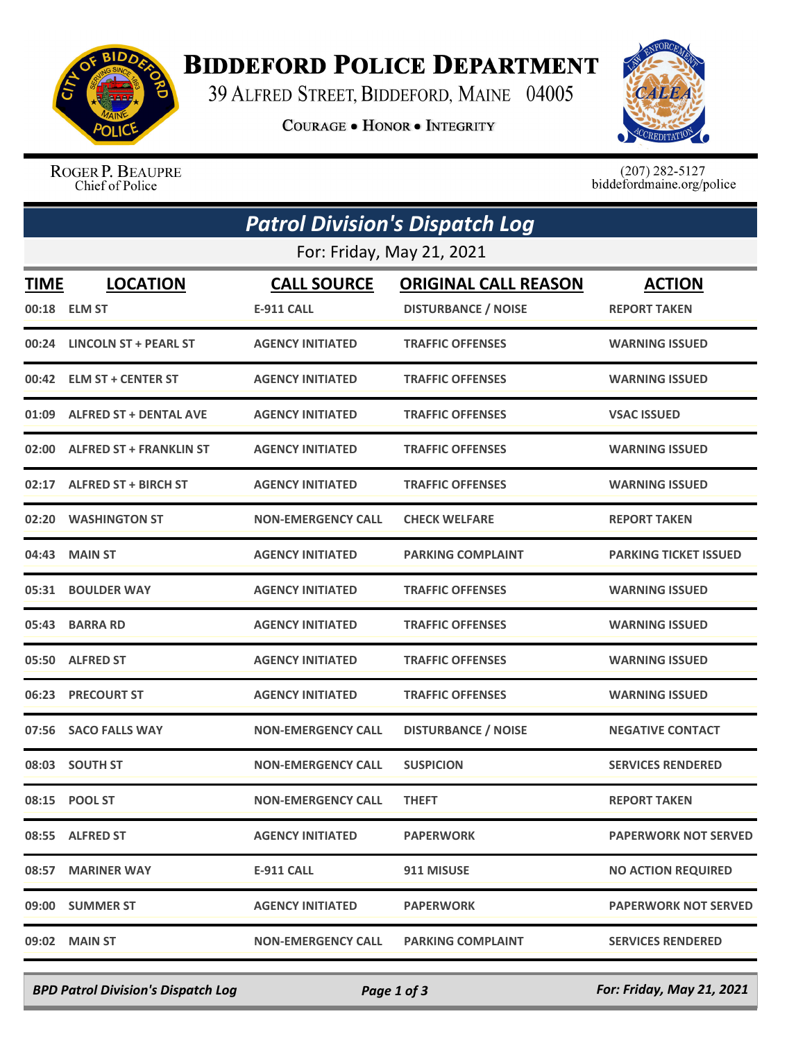

## **BIDDEFORD POLICE DEPARTMENT**

39 ALFRED STREET, BIDDEFORD, MAINE 04005

**COURAGE . HONOR . INTEGRITY** 



ROGER P. BEAUPRE<br>Chief of Police

 $(207)$  282-5127<br>biddefordmaine.org/police

| <b>Patrol Division's Dispatch Log</b><br>For: Friday, May 21, 2021 |                               |                           |                            |                              |  |  |  |
|--------------------------------------------------------------------|-------------------------------|---------------------------|----------------------------|------------------------------|--|--|--|
|                                                                    |                               |                           |                            |                              |  |  |  |
|                                                                    | 00:24 LINCOLN ST + PEARL ST   | <b>AGENCY INITIATED</b>   | <b>TRAFFIC OFFENSES</b>    | <b>WARNING ISSUED</b>        |  |  |  |
|                                                                    | 00:42 ELM ST + CENTER ST      | <b>AGENCY INITIATED</b>   | <b>TRAFFIC OFFENSES</b>    | <b>WARNING ISSUED</b>        |  |  |  |
| 01:09                                                              | <b>ALFRED ST + DENTAL AVE</b> | <b>AGENCY INITIATED</b>   | <b>TRAFFIC OFFENSES</b>    | <b>VSAC ISSUED</b>           |  |  |  |
|                                                                    | 02:00 ALFRED ST + FRANKLIN ST | <b>AGENCY INITIATED</b>   | <b>TRAFFIC OFFENSES</b>    | <b>WARNING ISSUED</b>        |  |  |  |
|                                                                    | 02:17 ALFRED ST + BIRCH ST    | <b>AGENCY INITIATED</b>   | <b>TRAFFIC OFFENSES</b>    | <b>WARNING ISSUED</b>        |  |  |  |
|                                                                    | 02:20 WASHINGTON ST           | <b>NON-EMERGENCY CALL</b> | <b>CHECK WELFARE</b>       | <b>REPORT TAKEN</b>          |  |  |  |
|                                                                    | 04:43 MAIN ST                 | <b>AGENCY INITIATED</b>   | <b>PARKING COMPLAINT</b>   | <b>PARKING TICKET ISSUED</b> |  |  |  |
|                                                                    | 05:31 BOULDER WAY             | <b>AGENCY INITIATED</b>   | <b>TRAFFIC OFFENSES</b>    | <b>WARNING ISSUED</b>        |  |  |  |
|                                                                    | 05:43 BARRA RD                | <b>AGENCY INITIATED</b>   | <b>TRAFFIC OFFENSES</b>    | <b>WARNING ISSUED</b>        |  |  |  |
|                                                                    | 05:50 ALFRED ST               | <b>AGENCY INITIATED</b>   | <b>TRAFFIC OFFENSES</b>    | <b>WARNING ISSUED</b>        |  |  |  |
| 06:23                                                              | <b>PRECOURT ST</b>            | <b>AGENCY INITIATED</b>   | <b>TRAFFIC OFFENSES</b>    | <b>WARNING ISSUED</b>        |  |  |  |
| 07:56                                                              | <b>SACO FALLS WAY</b>         | <b>NON-EMERGENCY CALL</b> | <b>DISTURBANCE / NOISE</b> | <b>NEGATIVE CONTACT</b>      |  |  |  |
|                                                                    | 08:03 SOUTH ST                | <b>NON-EMERGENCY CALL</b> | <b>SUSPICION</b>           | <b>SERVICES RENDERED</b>     |  |  |  |
|                                                                    | 08:15 POOL ST                 | <b>NON-EMERGENCY CALL</b> | <b>THEFT</b>               | <b>REPORT TAKEN</b>          |  |  |  |
|                                                                    | 08:55 ALFRED ST               | <b>AGENCY INITIATED</b>   | <b>PAPERWORK</b>           | <b>PAPERWORK NOT SERVED</b>  |  |  |  |
|                                                                    | 08:57 MARINER WAY             | <b>E-911 CALL</b>         | 911 MISUSE                 | <b>NO ACTION REQUIRED</b>    |  |  |  |
|                                                                    | 09:00 SUMMER ST               | <b>AGENCY INITIATED</b>   | <b>PAPERWORK</b>           | <b>PAPERWORK NOT SERVED</b>  |  |  |  |
|                                                                    | 09:02 MAIN ST                 | <b>NON-EMERGENCY CALL</b> | <b>PARKING COMPLAINT</b>   | <b>SERVICES RENDERED</b>     |  |  |  |

*BPD Patrol Division's Dispatch Log Page 1 of 3 For: Friday, May 21, 2021*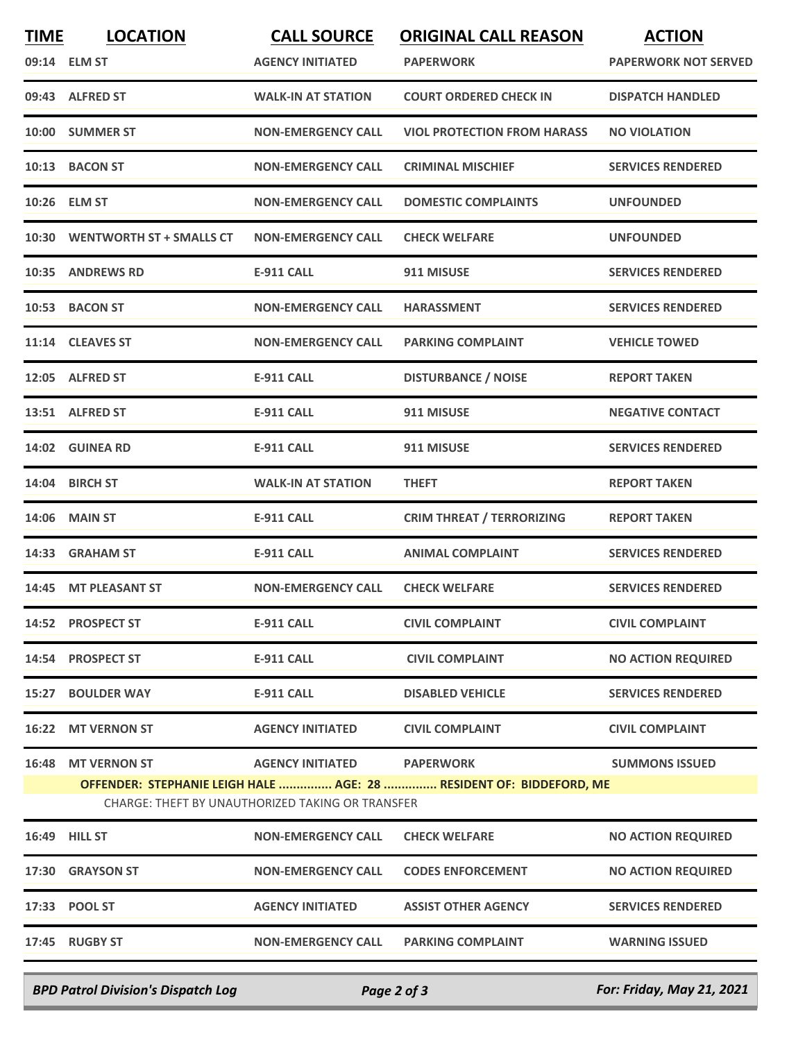| <b>TIME</b> | <b>LOCATION</b>                | <b>CALL SOURCE</b>                                                          | <b>ORIGINAL CALL REASON</b>                                                             | <b>ACTION</b>               |
|-------------|--------------------------------|-----------------------------------------------------------------------------|-----------------------------------------------------------------------------------------|-----------------------------|
|             | 09:14 ELM ST                   | <b>AGENCY INITIATED</b>                                                     | <b>PAPERWORK</b>                                                                        | <b>PAPERWORK NOT SERVED</b> |
|             | 09:43 ALFRED ST                | <b>WALK-IN AT STATION</b>                                                   | <b>COURT ORDERED CHECK IN</b>                                                           | <b>DISPATCH HANDLED</b>     |
| 10:00       | <b>SUMMER ST</b>               | <b>NON-EMERGENCY CALL</b>                                                   | <b>VIOL PROTECTION FROM HARASS</b>                                                      | <b>NO VIOLATION</b>         |
| 10:13       | <b>BACON ST</b>                | <b>NON-EMERGENCY CALL</b>                                                   | <b>CRIMINAL MISCHIEF</b>                                                                | <b>SERVICES RENDERED</b>    |
|             | 10:26 ELM ST                   | <b>NON-EMERGENCY CALL</b>                                                   | <b>DOMESTIC COMPLAINTS</b>                                                              | <b>UNFOUNDED</b>            |
|             | 10:30 WENTWORTH ST + SMALLS CT | <b>NON-EMERGENCY CALL</b>                                                   | <b>CHECK WELFARE</b>                                                                    | <b>UNFOUNDED</b>            |
| 10:35       | <b>ANDREWS RD</b>              | <b>E-911 CALL</b>                                                           | 911 MISUSE                                                                              | <b>SERVICES RENDERED</b>    |
|             | 10:53 BACON ST                 | <b>NON-EMERGENCY CALL</b>                                                   | <b>HARASSMENT</b>                                                                       | <b>SERVICES RENDERED</b>    |
|             | 11:14 CLEAVES ST               | <b>NON-EMERGENCY CALL</b>                                                   | <b>PARKING COMPLAINT</b>                                                                | <b>VEHICLE TOWED</b>        |
|             | 12:05 ALFRED ST                | <b>E-911 CALL</b>                                                           | <b>DISTURBANCE / NOISE</b>                                                              | <b>REPORT TAKEN</b>         |
|             | 13:51 ALFRED ST                | <b>E-911 CALL</b>                                                           | 911 MISUSE                                                                              | <b>NEGATIVE CONTACT</b>     |
| 14:02       | <b>GUINEA RD</b>               | <b>E-911 CALL</b>                                                           | 911 MISUSE                                                                              | <b>SERVICES RENDERED</b>    |
| 14:04       | <b>BIRCH ST</b>                | <b>WALK-IN AT STATION</b>                                                   | <b>THEFT</b>                                                                            | <b>REPORT TAKEN</b>         |
| 14:06       | <b>MAIN ST</b>                 | <b>E-911 CALL</b>                                                           | <b>CRIM THREAT / TERRORIZING</b>                                                        | <b>REPORT TAKEN</b>         |
| 14:33       | <b>GRAHAM ST</b>               | <b>E-911 CALL</b>                                                           | <b>ANIMAL COMPLAINT</b>                                                                 | <b>SERVICES RENDERED</b>    |
| 14:45       | <b>MT PLEASANT ST</b>          | <b>NON-EMERGENCY CALL</b>                                                   | <b>CHECK WELFARE</b>                                                                    | <b>SERVICES RENDERED</b>    |
|             | 14:52 PROSPECT ST              | <b>E-911 CALL</b>                                                           | <b>CIVIL COMPLAINT</b>                                                                  | <b>CIVIL COMPLAINT</b>      |
|             | 14:54 PROSPECT ST              | <b>E-911 CALL</b>                                                           | <b>CIVIL COMPLAINT</b>                                                                  | <b>NO ACTION REQUIRED</b>   |
|             | 15:27 BOULDER WAY              | <b>E-911 CALL</b>                                                           | <b>DISABLED VEHICLE</b>                                                                 | <b>SERVICES RENDERED</b>    |
|             | 16:22 MT VERNON ST             | <b>AGENCY INITIATED</b>                                                     | <b>CIVIL COMPLAINT</b>                                                                  | <b>CIVIL COMPLAINT</b>      |
|             | 16:48 MT VERNON ST             | <b>AGENCY INITIATED</b><br>CHARGE: THEFT BY UNAUTHORIZED TAKING OR TRANSFER | <b>PAPERWORK</b><br>OFFENDER: STEPHANIE LEIGH HALE  AGE: 28  RESIDENT OF: BIDDEFORD, ME | <b>SUMMONS ISSUED</b>       |
|             | 16:49 HILL ST                  | <b>NON-EMERGENCY CALL</b>                                                   | <b>CHECK WELFARE</b>                                                                    | <b>NO ACTION REQUIRED</b>   |
|             | 17:30 GRAYSON ST               | <b>NON-EMERGENCY CALL</b>                                                   | <b>CODES ENFORCEMENT</b>                                                                | <b>NO ACTION REQUIRED</b>   |
|             | 17:33 POOL ST                  | <b>AGENCY INITIATED</b>                                                     | <b>ASSIST OTHER AGENCY</b>                                                              | <b>SERVICES RENDERED</b>    |
|             | 17:45 RUGBY ST                 | <b>NON-EMERGENCY CALL</b>                                                   | <b>PARKING COMPLAINT</b>                                                                | <b>WARNING ISSUED</b>       |
|             |                                |                                                                             |                                                                                         |                             |

*BPD Patrol Division's Dispatch Log Page 2 of 3 For: Friday, May 21, 2021*